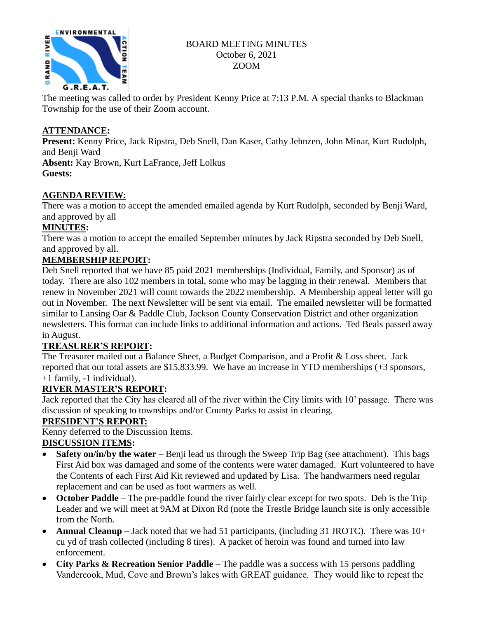

### BOARD MEETING MINUTES October 6, 2021 ZOOM

The meeting was called to order by President Kenny Price at 7:13 P.M. A special thanks to Blackman Township for the use of their Zoom account.

### **ATTENDANCE:**

**Present:** Kenny Price, Jack Ripstra, Deb Snell, Dan Kaser, Cathy Jehnzen, John Minar, Kurt Rudolph, and Benji Ward

**Absent:** Kay Brown, Kurt LaFrance, Jeff Lolkus **Guests:**

## **AGENDA REVIEW:**

There was a motion to accept the amended emailed agenda by Kurt Rudolph, seconded by Benji Ward, and approved by all

## **MINUTES:**

There was a motion to accept the emailed September minutes by Jack Ripstra seconded by Deb Snell, and approved by all.

# **MEMBERSHIP REPORT:**

Deb Snell reported that we have 85 paid 2021 memberships (Individual, Family, and Sponsor) as of today. There are also 102 members in total, some who may be lagging in their renewal. Members that renew in November 2021 will count towards the 2022 membership. A Membership appeal letter will go out in November. The next Newsletter will be sent via email. The emailed newsletter will be formatted similar to Lansing Oar & Paddle Club, Jackson County Conservation District and other organization newsletters. This format can include links to additional information and actions. Ted Beals passed away in August.

### **TREASURER'S REPORT:**

The Treasurer mailed out a Balance Sheet, a Budget Comparison, and a Profit & Loss sheet. Jack reported that our total assets are \$15,833.99. We have an increase in YTD memberships (+3 sponsors, +1 family, -1 individual).

# **RIVER MASTER'S REPORT:**

Jack reported that the City has cleared all of the river within the City limits with 10' passage. There was discussion of speaking to townships and/or County Parks to assist in clearing.

### **PRESIDENT'S REPORT:**

Kenny deferred to the Discussion Items.

# **DISCUSSION ITEMS:**

- **Safety on/in/by the water** Benji lead us through the Sweep Trip Bag (see attachment). This bags First Aid box was damaged and some of the contents were water damaged. Kurt volunteered to have the Contents of each First Aid Kit reviewed and updated by Lisa. The handwarmers need regular replacement and can be used as foot warmers as well.
- **October Paddle** The pre-paddle found the river fairly clear except for two spots. Deb is the Trip Leader and we will meet at 9AM at Dixon Rd (note the Trestle Bridge launch site is only accessible from the North.
- **Annual Cleanup** Jack noted that we had 51 participants, (including 31 JROTC). There was 10+ cu yd of trash collected (including 8 tires). A packet of heroin was found and turned into law enforcement.
- **City Parks & Recreation Senior Paddle** The paddle was a success with 15 persons paddling Vandercook, Mud, Cove and Brown's lakes with GREAT guidance. They would like to repeat the